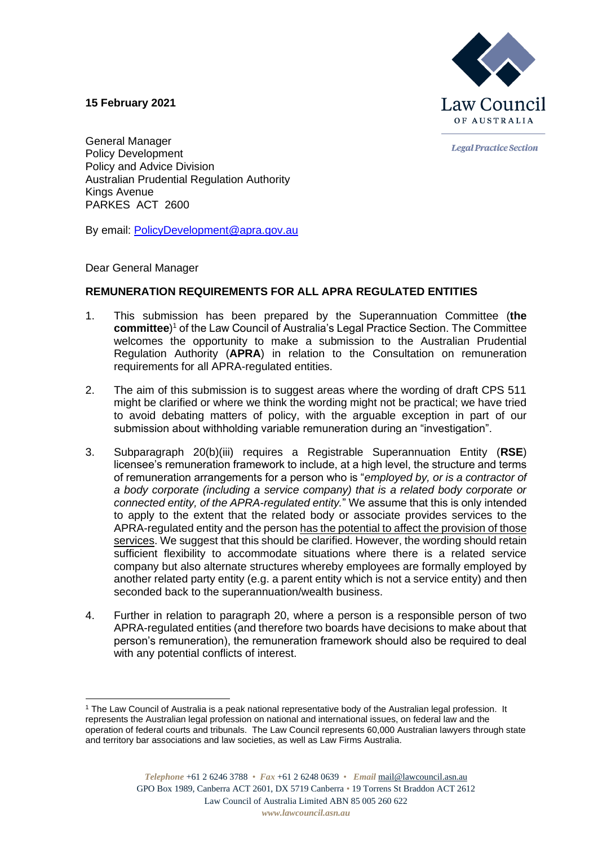

**Legal Practice Section** 

**15 February 2021**

General Manager Policy Development Policy and Advice Division Australian Prudential Regulation Authority Kings Avenue PARKES ACT 2600

By email: [PolicyDevelopment@apra.gov.au](mailto:PolicyDevelopment@apra.gov.au)

Dear General Manager

## **REMUNERATION REQUIREMENTS FOR ALL APRA REGULATED ENTITIES**

- 1. This submission has been prepared by the Superannuation Committee (**the committee**) <sup>1</sup> of the Law Council of Australia's Legal Practice Section. The Committee welcomes the opportunity to make a submission to the Australian Prudential Regulation Authority (**APRA**) in relation to the Consultation on remuneration requirements for all APRA-regulated entities.
- 2. The aim of this submission is to suggest areas where the wording of draft CPS 511 might be clarified or where we think the wording might not be practical; we have tried to avoid debating matters of policy, with the arguable exception in part of our submission about withholding variable remuneration during an "investigation".
- 3. Subparagraph 20(b)(iii) requires a Registrable Superannuation Entity (**RSE**) licensee's remuneration framework to include, at a high level, the structure and terms of remuneration arrangements for a person who is "*employed by, or is a contractor of a body corporate (including a service company) that is a related body corporate or connected entity, of the APRA-regulated entity.*" We assume that this is only intended to apply to the extent that the related body or associate provides services to the APRA-regulated entity and the person has the potential to affect the provision of those services. We suggest that this should be clarified. However, the wording should retain sufficient flexibility to accommodate situations where there is a related service company but also alternate structures whereby employees are formally employed by another related party entity (e.g. a parent entity which is not a service entity) and then seconded back to the superannuation/wealth business.
- 4. Further in relation to paragraph 20, where a person is a responsible person of two APRA-regulated entities (and therefore two boards have decisions to make about that person's remuneration), the remuneration framework should also be required to deal with any potential conflicts of interest.

<sup>1</sup> The Law Council of Australia is a peak national representative body of the Australian legal profession. It represents the Australian legal profession on national and international issues, on federal law and the operation of federal courts and tribunals. The Law Council represents 60,000 Australian lawyers through state and territory bar associations and law societies, as well as Law Firms Australia.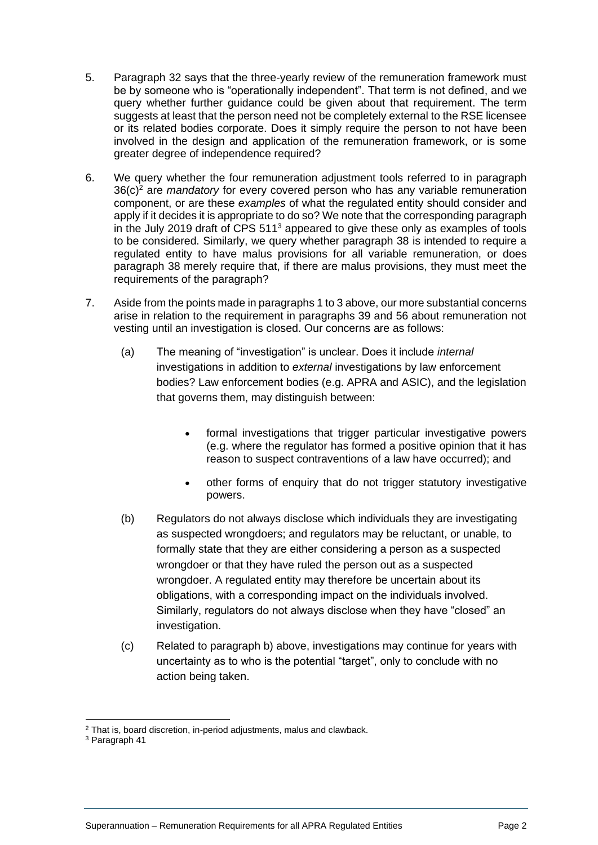- 5. Paragraph 32 says that the three-yearly review of the remuneration framework must be by someone who is "operationally independent". That term is not defined, and we query whether further guidance could be given about that requirement. The term suggests at least that the person need not be completely external to the RSE licensee or its related bodies corporate. Does it simply require the person to not have been involved in the design and application of the remuneration framework, or is some greater degree of independence required?
- 6. We query whether the four remuneration adjustment tools referred to in paragraph 36(c)<sup>2</sup> are *mandatory* for every covered person who has any variable remuneration component, or are these *examples* of what the regulated entity should consider and apply if it decides it is appropriate to do so? We note that the corresponding paragraph in the July 2019 draft of CPS 511<sup>3</sup> appeared to give these only as examples of tools to be considered. Similarly, we query whether paragraph 38 is intended to require a regulated entity to have malus provisions for all variable remuneration, or does paragraph 38 merely require that, if there are malus provisions, they must meet the requirements of the paragraph?
- 7. Aside from the points made in paragraphs 1 to 3 above, our more substantial concerns arise in relation to the requirement in paragraphs 39 and 56 about remuneration not vesting until an investigation is closed. Our concerns are as follows:
	- (a) The meaning of "investigation" is unclear. Does it include *internal* investigations in addition to *external* investigations by law enforcement bodies? Law enforcement bodies (e.g. APRA and ASIC), and the legislation that governs them, may distinguish between:
		- formal investigations that trigger particular investigative powers (e.g. where the regulator has formed a positive opinion that it has reason to suspect contraventions of a law have occurred); and
		- other forms of enquiry that do not trigger statutory investigative powers.
	- (b) Regulators do not always disclose which individuals they are investigating as suspected wrongdoers; and regulators may be reluctant, or unable, to formally state that they are either considering a person as a suspected wrongdoer or that they have ruled the person out as a suspected wrongdoer. A regulated entity may therefore be uncertain about its obligations, with a corresponding impact on the individuals involved. Similarly, regulators do not always disclose when they have "closed" an investigation.
	- (c) Related to paragraph b) above, investigations may continue for years with uncertainty as to who is the potential "target", only to conclude with no action being taken.

<sup>&</sup>lt;sup>2</sup> That is, board discretion, in-period adjustments, malus and clawback.

<sup>3</sup> Paragraph 41